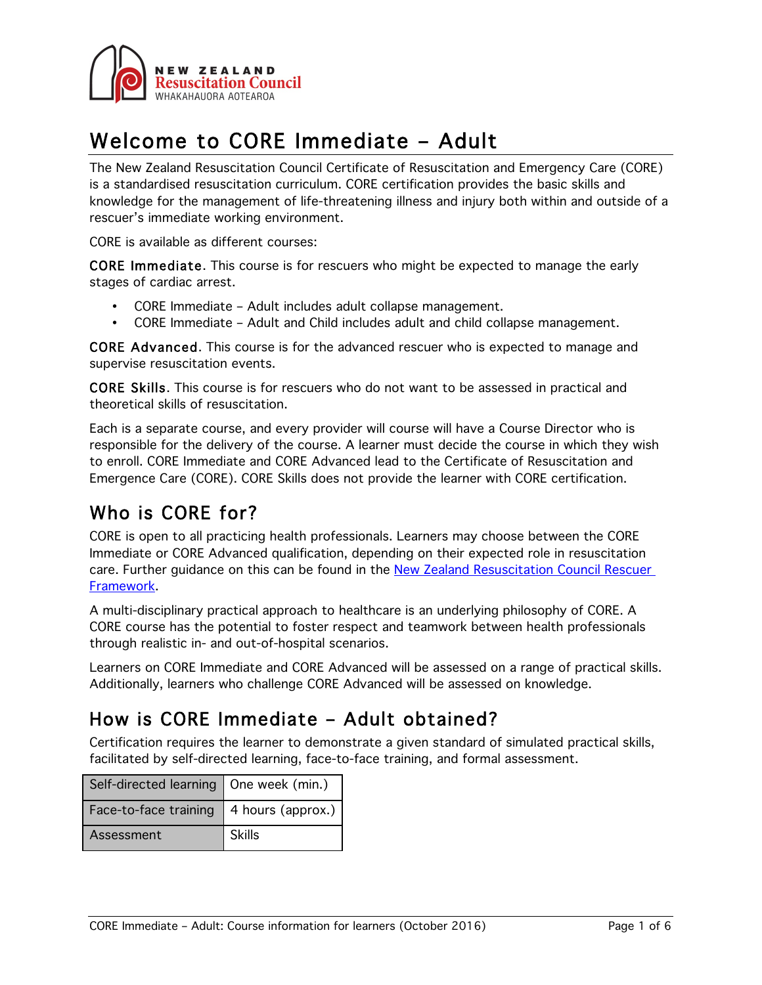

# Welcome to CORE Immediate – Adult

The New Zealand Resuscitation Council Certificate of Resuscitation and Emergency Care (CORE) is a standardised resuscitation curriculum. CORE certification provides the basic skills and knowledge for the management of life-threatening illness and injury both within and outside of a rescuer's immediate working environment.

CORE is available as different courses:

CORE Immediate. This course is for rescuers who might be expected to manage the early stages of cardiac arrest.

- CORE Immediate Adult includes adult collapse management.
- CORE Immediate Adult and Child includes adult and child collapse management.

CORE Advanced. This course is for the advanced rescuer who is expected to manage and supervise resuscitation events.

CORE Skills. This course is for rescuers who do not want to be assessed in practical and theoretical skills of resuscitation.

Each is a separate course, and every provider will course will have a Course Director who is responsible for the delivery of the course. A learner must decide the course in which they wish to enroll. CORE Immediate and CORE Advanced lead to the Certificate of Resuscitation and Emergence Care (CORE). CORE Skills does not provide the learner with CORE certification.

# Who is CORE for?

CORE is open to all practicing health professionals. Learners may choose between the CORE Immediate or CORE Advanced qualification, depending on their expected role in resuscitation care. Further guidance on this can be found in the New Zealand Resuscitation Council Rescuer Framework.

A multi-disciplinary practical approach to healthcare is an underlying philosophy of CORE. A CORE course has the potential to foster respect and teamwork between health professionals through realistic in- and out-of-hospital scenarios.

Learners on CORE Immediate and CORE Advanced will be assessed on a range of practical skills. Additionally, learners who challenge CORE Advanced will be assessed on knowledge.

# How is CORE Immediate – Adult obtained?

Certification requires the learner to demonstrate a given standard of simulated practical skills, facilitated by self-directed learning, face-to-face training, and formal assessment.

| Self-directed learning   One week (min.) |                               |
|------------------------------------------|-------------------------------|
| Face-to-face training                    | $\parallel$ 4 hours (approx.) |
| Assessment                               | <b>Skills</b>                 |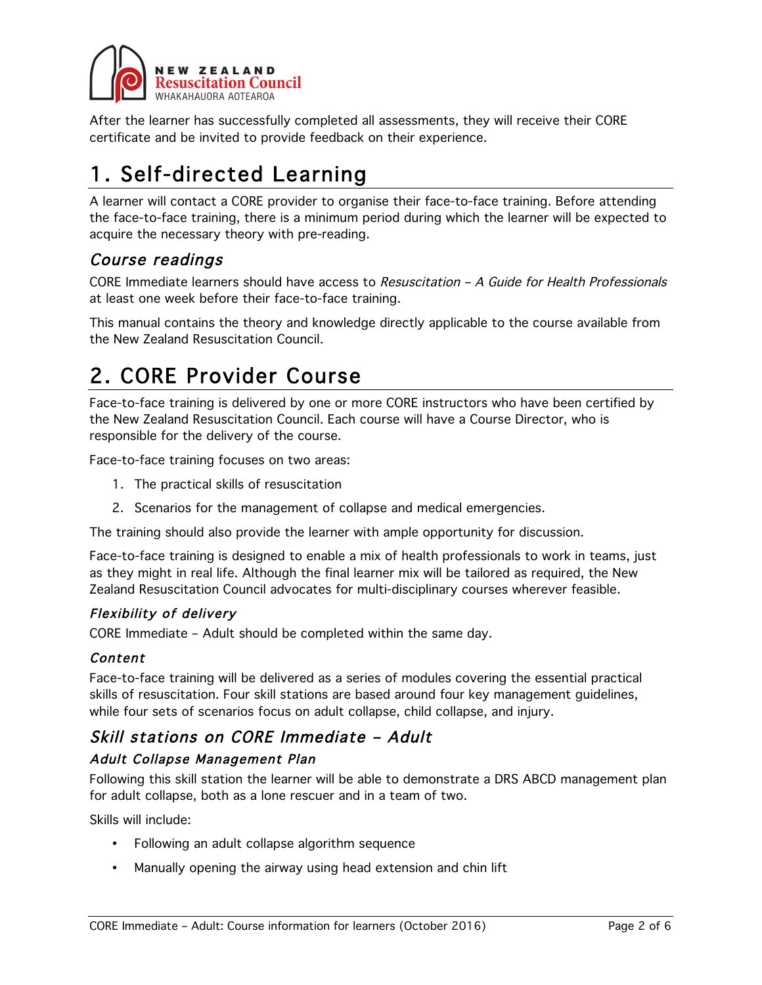

After the learner has successfully completed all assessments, they will receive their CORE certificate and be invited to provide feedback on their experience.

# 1. Self-directed Learning

A learner will contact a CORE provider to organise their face-to-face training. Before attending the face-to-face training, there is a minimum period during which the learner will be expected to acquire the necessary theory with pre-reading.

## Course readings

CORE Immediate learners should have access to Resuscitation – A Guide for Health Professionals at least one week before their face-to-face training.

This manual contains the theory and knowledge directly applicable to the course available from the New Zealand Resuscitation Council.

# 2. CORE Provider Course

Face-to-face training is delivered by one or more CORE instructors who have been certified by the New Zealand Resuscitation Council. Each course will have a Course Director, who is responsible for the delivery of the course.

Face-to-face training focuses on two areas:

- 1. The practical skills of resuscitation
- 2. Scenarios for the management of collapse and medical emergencies.

The training should also provide the learner with ample opportunity for discussion.

Face-to-face training is designed to enable a mix of health professionals to work in teams, just as they might in real life. Although the final learner mix will be tailored as required, the New Zealand Resuscitation Council advocates for multi-disciplinary courses wherever feasible.

### Flexibility of delivery

CORE Immediate – Adult should be completed within the same day.

### Content

Face-to-face training will be delivered as a series of modules covering the essential practical skills of resuscitation. Four skill stations are based around four key management guidelines, while four sets of scenarios focus on adult collapse, child collapse, and injury.

## Skill stations on CORE Immediate – Adult

### Adult Collapse Management Plan

Following this skill station the learner will be able to demonstrate a DRS ABCD management plan for adult collapse, both as a lone rescuer and in a team of two.

Skills will include:

- Following an adult collapse algorithm sequence
- Manually opening the airway using head extension and chin lift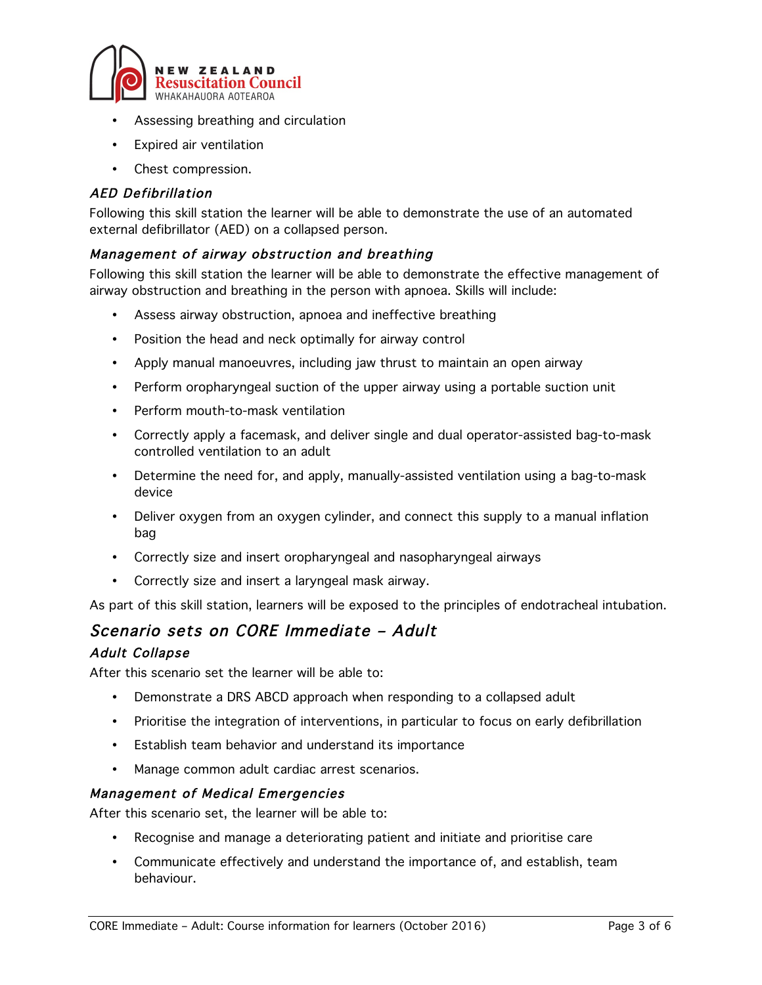

- Assessing breathing and circulation
- Expired air ventilation
- Chest compression.

## AED Defibrillation

Following this skill station the learner will be able to demonstrate the use of an automated external defibrillator (AED) on a collapsed person.

### Management of airway obstruction and breathing

Following this skill station the learner will be able to demonstrate the effective management of airway obstruction and breathing in the person with apnoea. Skills will include:

- Assess airway obstruction, apnoea and ineffective breathing
- Position the head and neck optimally for airway control
- Apply manual manoeuvres, including jaw thrust to maintain an open airway
- Perform oropharyngeal suction of the upper airway using a portable suction unit
- Perform mouth-to-mask ventilation
- Correctly apply a facemask, and deliver single and dual operator-assisted bag-to-mask controlled ventilation to an adult
- Determine the need for, and apply, manually-assisted ventilation using a bag-to-mask device
- Deliver oxygen from an oxygen cylinder, and connect this supply to a manual inflation bag
- Correctly size and insert oropharyngeal and nasopharyngeal airways
- Correctly size and insert a laryngeal mask airway.

As part of this skill station, learners will be exposed to the principles of endotracheal intubation.

## Scenario sets on CORE Immediate – Adult

### Adult Collapse

After this scenario set the learner will be able to:

- Demonstrate a DRS ABCD approach when responding to a collapsed adult
- Prioritise the integration of interventions, in particular to focus on early defibrillation
- Establish team behavior and understand its importance
- Manage common adult cardiac arrest scenarios.

### Management of Medical Emergencies

After this scenario set, the learner will be able to:

- Recognise and manage a deteriorating patient and initiate and prioritise care
- Communicate effectively and understand the importance of, and establish, team behaviour.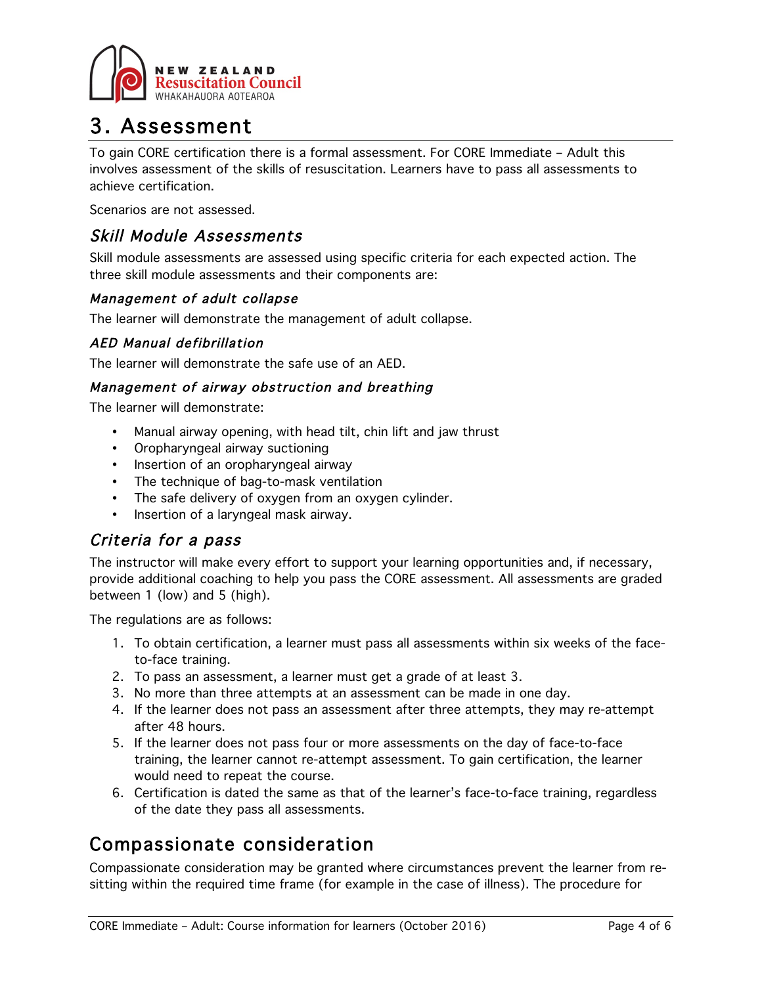

# 3. Assessment

To gain CORE certification there is a formal assessment. For CORE Immediate – Adult this involves assessment of the skills of resuscitation. Learners have to pass all assessments to achieve certification.

Scenarios are not assessed.

## Skill Module Assessments

Skill module assessments are assessed using specific criteria for each expected action. The three skill module assessments and their components are:

### Management of adult collapse

The learner will demonstrate the management of adult collapse.

### AED Manual defibrillation

The learner will demonstrate the safe use of an AED.

### Management of airway obstruction and breathing

The learner will demonstrate:

- Manual airway opening, with head tilt, chin lift and jaw thrust
- Oropharyngeal airway suctioning
- Insertion of an oropharyngeal airway
- The technique of bag-to-mask ventilation
- The safe delivery of oxygen from an oxygen cylinder.
- Insertion of a laryngeal mask airway.

## Criteria for a pass

The instructor will make every effort to support your learning opportunities and, if necessary, provide additional coaching to help you pass the CORE assessment. All assessments are graded between 1 (low) and 5 (high).

The regulations are as follows:

- 1. To obtain certification, a learner must pass all assessments within six weeks of the faceto-face training.
- 2. To pass an assessment, a learner must get a grade of at least 3.
- 3. No more than three attempts at an assessment can be made in one day.
- 4. If the learner does not pass an assessment after three attempts, they may re-attempt after 48 hours.
- 5. If the learner does not pass four or more assessments on the day of face-to-face training, the learner cannot re-attempt assessment. To gain certification, the learner would need to repeat the course.
- 6. Certification is dated the same as that of the learner's face-to-face training, regardless of the date they pass all assessments.

# Compassionate consideration

Compassionate consideration may be granted where circumstances prevent the learner from resitting within the required time frame (for example in the case of illness). The procedure for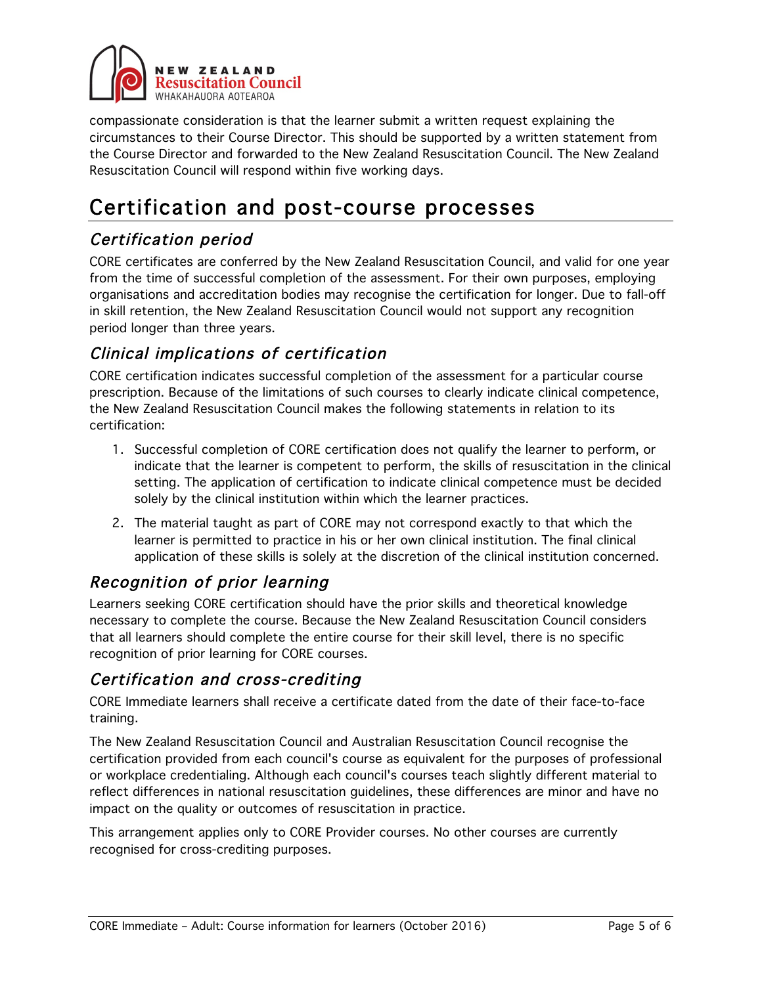

compassionate consideration is that the learner submit a written request explaining the circumstances to their Course Director. This should be supported by a written statement from the Course Director and forwarded to the New Zealand Resuscitation Council. The New Zealand Resuscitation Council will respond within five working days.

# Certification and post-course processes

# Certification period

CORE certificates are conferred by the New Zealand Resuscitation Council, and valid for one year from the time of successful completion of the assessment. For their own purposes, employing organisations and accreditation bodies may recognise the certification for longer. Due to fall-off in skill retention, the New Zealand Resuscitation Council would not support any recognition period longer than three years.

## Clinical implications of certification

CORE certification indicates successful completion of the assessment for a particular course prescription. Because of the limitations of such courses to clearly indicate clinical competence, the New Zealand Resuscitation Council makes the following statements in relation to its certification:

- 1. Successful completion of CORE certification does not qualify the learner to perform, or indicate that the learner is competent to perform, the skills of resuscitation in the clinical setting. The application of certification to indicate clinical competence must be decided solely by the clinical institution within which the learner practices.
- 2. The material taught as part of CORE may not correspond exactly to that which the learner is permitted to practice in his or her own clinical institution. The final clinical application of these skills is solely at the discretion of the clinical institution concerned.

## Recognition of prior learning

Learners seeking CORE certification should have the prior skills and theoretical knowledge necessary to complete the course. Because the New Zealand Resuscitation Council considers that all learners should complete the entire course for their skill level, there is no specific recognition of prior learning for CORE courses.

## Certification and cross-crediting

CORE Immediate learners shall receive a certificate dated from the date of their face-to-face training.

The New Zealand Resuscitation Council and Australian Resuscitation Council recognise the certification provided from each council's course as equivalent for the purposes of professional or workplace credentialing. Although each council's courses teach slightly different material to reflect differences in national resuscitation guidelines, these differences are minor and have no impact on the quality or outcomes of resuscitation in practice.

This arrangement applies only to CORE Provider courses. No other courses are currently recognised for cross-crediting purposes.